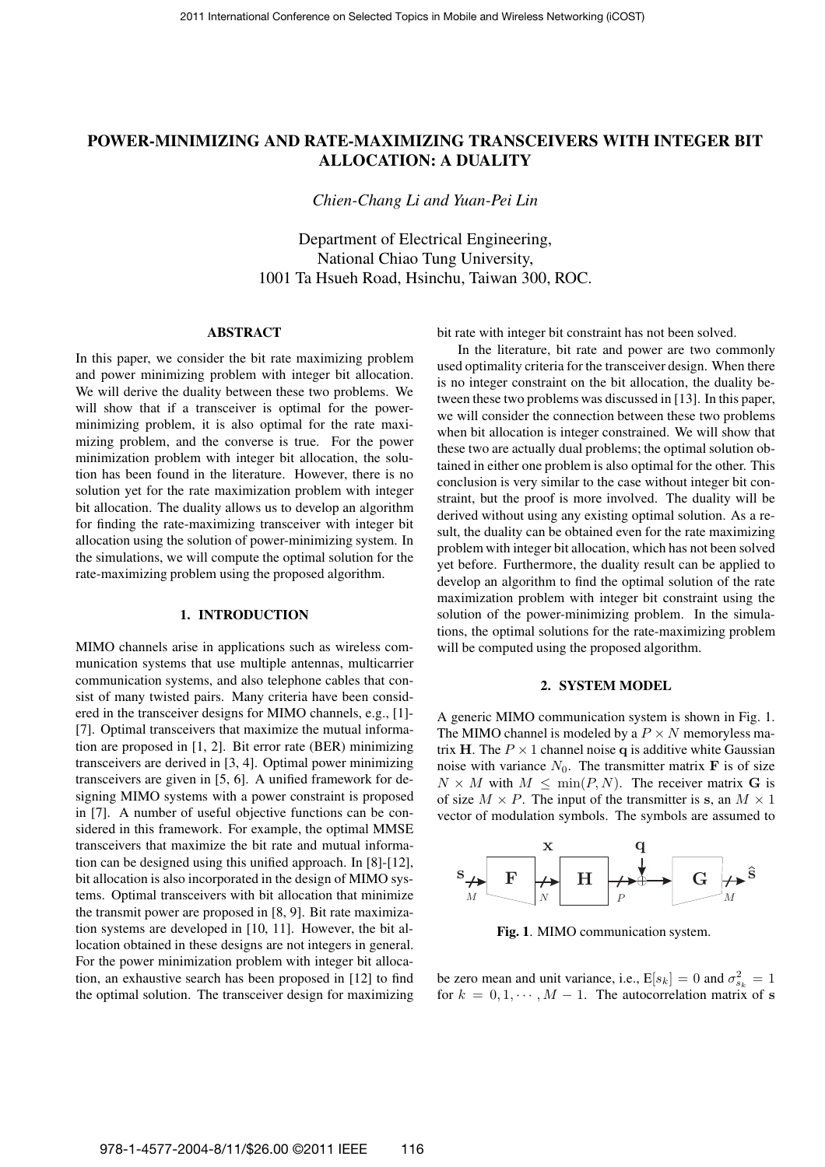## **POWER-MINIMIZING AND RATE-MAXIMIZING TRANSCEIVERS WITH INTEGER BIT ALLOCATION: A DUALITY**

*Chien-Chang Li and Yuan-Pei Lin*

Department of Electrical Engineering, National Chiao Tung University, 1001 Ta Hsueh Road, Hsinchu, Taiwan 300, ROC.

### **ABSTRACT**

In this paper, we consider the bit rate maximizing problem and power minimizing problem with integer bit allocation. We will derive the duality between these two problems. We will show that if a transceiver is optimal for the powerminimizing problem, it is also optimal for the rate maximizing problem, and the converse is true. For the power minimization problem with integer bit allocation, the solution has been found in the literature. However, there is no solution yet for the rate maximization problem with integer bit allocation. The duality allows us to develop an algorithm for finding the rate-maximizing transceiver with integer bit allocation using the solution of power-minimizing system. In the simulations, we will compute the optimal solution for the rate-maximizing problem using the proposed algorithm.

## **1. INTRODUCTION**

MIMO channels arise in applications such as wireless communication systems that use multiple antennas, multicarrier communication systems, and also telephone cables that consist of many twisted pairs. Many criteria have been considered in the transceiver designs for MIMO channels, e.g., [1]- [7]. Optimal transceivers that maximize the mutual information are proposed in [1, 2]. Bit error rate (BER) minimizing transceivers are derived in [3, 4]. Optimal power minimizing transceivers are given in [5, 6]. A unified framework for designing MIMO systems with a power constraint is proposed in [7]. A number of useful objective functions can be considered in this framework. For example, the optimal MMSE transceivers that maximize the bit rate and mutual information can be designed using this unified approach. In [8]-[12], bit allocation is also incorporated in the design of MIMO systems. Optimal transceivers with bit allocation that minimize the transmit power are proposed in [8, 9]. Bit rate maximization systems are developed in [10, 11]. However, the bit allocation obtained in these designs are not integers in general. For the power minimization problem with integer bit allocation, an exhaustive search has been proposed in [12] to find the optimal solution. The transceiver design for maximizing

bit rate with integer bit constraint has not been solved.

In the literature, bit rate and power are two commonly used optimality criteria for the transceiver design. When there is no integer constraint on the bit allocation, the duality between these two problems was discussed in [13]. In this paper, we will consider the connection between these two problems when bit allocation is integer constrained. We will show that these two are actually dual problems; the optimal solution obtained in either one problem is also optimal for the other. This conclusion is very similar to the case without integer bit constraint, but the proof is more involved. The duality will be derived without using any existing optimal solution. As a result, the duality can be obtained even for the rate maximizing problem with integer bit allocation, which has not been solved yet before. Furthermore, the duality result can be applied to develop an algorithm to find the optimal solution of the rate maximization problem with integer bit constraint using the solution of the power-minimizing problem. In the simulations, the optimal solutions for the rate-maximizing problem will be computed using the proposed algorithm.

#### **2. SYSTEM MODEL**

A generic MIMO communication system is shown in Fig. 1. The MIMO channel is modeled by a  $P \times N$  memoryless matrix H. The  $P \times 1$  channel noise q is additive white Gaussian noise with variance  $N_0$ . The transmitter matrix **F** is of size  $N \times M$  with  $M \leq \min(P, N)$ . The receiver matrix G is of size  $M \times P$ . The input of the transmitter is s, an  $M \times 1$ vector of modulation symbols. The symbols are assumed to



**Fig. 1**. MIMO communication system.

be zero mean and unit variance, i.e.,  $E[s_k] = 0$  and  $\sigma_{s_k}^2 = 1$ for  $k = 0, 1, \dots, M - 1$ . The autocorrelation matrix of s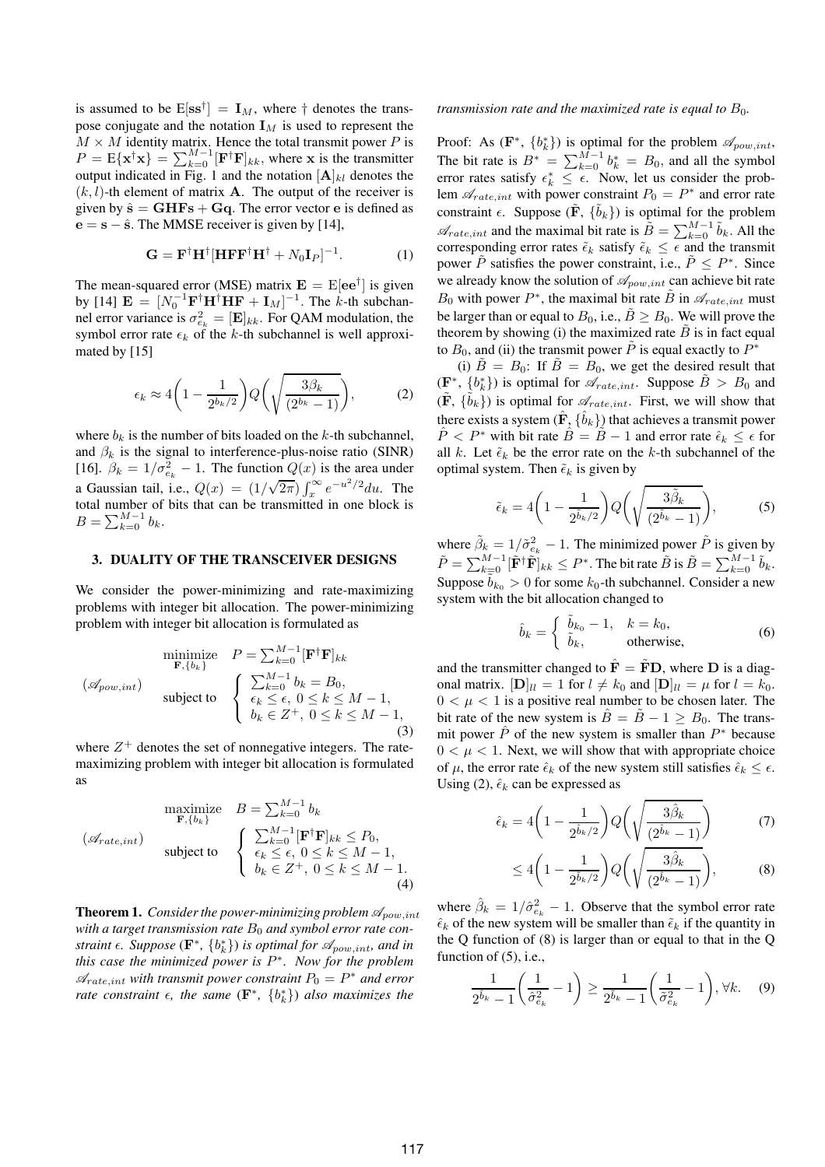is assumed to be  $E[\mathbf{s}^{\dagger}] = \mathbf{I}_M$ , where  $\dagger$  denotes the transpose conjugate and the notation  $I_M$  is used to represent the  $M \times M$  identity matrix. Hence the total transmit power P is  $P = \mathbb{E}\{\mathbf{x}^{\dagger}\mathbf{x}\} = \sum_{k=0}^{M-1} [\mathbf{F}^{\dagger}\mathbf{F}]_{kk}$ , where **x** is the transmitter output indicated in Fig. 1 and the notation  $[A]_{kl}$  denotes the  $(k, l)$ -th element of matrix **A**. The output of the receiver is given by  $\hat{\mathbf{s}} = \mathbf{GHFs} + \mathbf{Gq}$ . The error vector e is defined as  $e = s - \hat{s}$ . The MMSE receiver is given by [14],

$$
\mathbf{G} = \mathbf{F}^{\dagger} \mathbf{H}^{\dagger} [\mathbf{H} \mathbf{F} \mathbf{F}^{\dagger} \mathbf{H}^{\dagger} + N_0 \mathbf{I}_P]^{-1}.
$$
 (1)

The mean-squared error (MSE) matrix  $\mathbf{E} = \mathrm{E}[\mathbf{e} \mathbf{e}^{\dagger}]$  is given by [14]  $\mathbf{E} = [N_0^{-1} \mathbf{F}^{\dagger} \mathbf{H}^{\dagger} \mathbf{H} \mathbf{F} + \mathbf{I}_M]^{-1}$ . The k-th subchannel error variance is  $\sigma_{e_k}^2 = [\mathbf{E}]_{kk}$ . For QAM modulation, the symbol error rate  $\epsilon_k$  of the k-th subchannel is well approximated by [15]

$$
\epsilon_k \approx 4\left(1 - \frac{1}{2^{b_k/2}}\right) Q\left(\sqrt{\frac{3\beta_k}{(2^{b_k} - 1)}}\right),\tag{2}
$$

where  $b_k$  is the number of bits loaded on the k-th subchannel. and  $\beta_k$  is the signal to interference-plus-noise ratio (SINR) [16].  $\beta_k = 1/\sigma_{e_k}^2 - 1$ . The function  $Q(x)$  is the area under a Gaussian tail, i.e.,  $Q(x) = (1/\sqrt{2\pi}) \int_x^{\infty} e^{-u^2/2} du$ . The total number of bits that can be transmitted in one block is  $B = \sum_{k=0}^{M-1} b_k.$ 

### **3. DUALITY OF THE TRANSCEIVER DESIGNS**

We consider the power-minimizing and rate-maximizing problems with integer bit allocation. The power-minimizing problem with integer bit allocation is formulated as

$$
\text{minimize} \quad P = \sum_{k=0}^{M-1} [\mathbf{F}^{\dagger} \mathbf{F}]_{kk}
$$
\n
$$
(\mathscr{A}_{pow, int}) \quad \text{subject to} \quad \begin{cases}\n\sum_{k=0}^{M-1} b_k = B_0, \\
\epsilon_k \le \epsilon, \ 0 \le k \le M - 1, \\
b_k \in Z^+, \ 0 \le k \le M - 1,\n\end{cases} (3)
$$

where  $Z^+$  denotes the set of nonnegative integers. The ratemaximizing problem with integer bit allocation is formulated as

maximize 
$$
B = \sum_{k=0}^{M-1} b_k
$$
  
\n $(\mathcal{A}_{rate, int})$   
\nsubject to  
\n
$$
\begin{cases}\n\sum_{k=0}^{M-1} [\mathbf{F}^{\dagger} \mathbf{F}]_{kk} \leq P_0, \\
\epsilon_k \leq \epsilon, 0 \leq k \leq M - 1, \\
b_k \in Z^+, 0 \leq k \leq M - 1.\n\end{cases}
$$
\n(4)

**Theorem 1.** *Consider the power-minimizing problem*  $\mathscr{A}_{pow,int}$ with a target transmission rate  $B_0$  and symbol error rate con*straint*  $\epsilon$ *. Suppose* ( $\mathbf{F}^*$ *,*  $\{b_k^*\}$ *) is optimal for*  $\mathscr{A}_{pow,int}$ *<i>, and in this case the minimized power is* P ∗ *. Now for the problem*  $\mathscr{A}_{rate, int}$  with transmit power constraint  $P_0 = P^*$  and error *rate constraint*  $\epsilon$ *, the same* ( $\mathbf{F}^*$ *,*  $\{b_k^*\}$ *) also maximizes the* 

*transmission rate and the maximized rate is equal to*  $B_0$ *.* 

Proof: As  $(\mathbf{F}^*, \{b_k^*\})$  is optimal for the problem  $\mathscr{A}_{pow, int}$ , The bit rate is  $B^* = \sum_{k=0}^{M-1} b_k^* = B_0$ , and all the symbol error rates satisfy  $\epsilon_k^* \leq \epsilon$ . Now, let us consider the problem  $\mathscr{A}_{rate, int}$  with power constraint  $P_0 = P^*$  and error rate constraint  $\epsilon$ . Suppose ( $\tilde{F}$ ,  $\{\tilde{b}_k\}$ ) is optimal for the problem  $\mathscr{A}_{rate, int}$  and the maximal bit rate is  $\tilde{B} = \sum_{k=0}^{M-1} \tilde{b}_k$ . All the corresponding error rates  $\tilde{\epsilon}_k$  satisfy  $\tilde{\epsilon}_k \leq \tilde{\epsilon}$  and the transmit power  $\tilde{P}$  satisfies the power constraint, i.e.,  $\tilde{P} \le P^*$ . Since we already know the solution of  $\mathscr{A}_{pow,int}$  can achieve bit rate  $B_0$  with power  $P^*$ , the maximal bit rate  $\tilde{B}$  in  $\mathscr{A}_{rate, int}$  must be larger than or equal to  $B_0$ , i.e.,  $\tilde{B} \geq B_0$ . We will prove the theorem by showing (i) the maximized rate  $B$  is in fact equal to  $B_0$ , and (ii) the transmit power  $\tilde{P}$  is equal exactly to  $P^*$ 

(i)  $B = B_0$ : If  $B = B_0$ , we get the desired result that  $(\mathbf{F}^*, \{b_k^*\})$  is optimal for  $\mathscr{A}_{rate, int}$ . Suppose  $\tilde{B} > B_0$  and  $(\tilde{\mathbf{F}}, \{\tilde{b}_k\})$  is optimal for  $\mathscr{A}_{rate, int}$ . First, we will show that there exists a system  $(\hat{\mathbf{F}}_{\lambda} \{\hat{b}_k\})$  that achieves a transmit power  $\hat{P} < P^*$  with bit rate  $\hat{B} = \tilde{B} - 1$  and error rate  $\hat{\epsilon}_k \leq \epsilon$  for all k. Let  $\tilde{\epsilon}_k$  be the error rate on the k-th subchannel of the optimal system. Then  $\tilde{\epsilon}_k$  is given by

$$
\tilde{\epsilon}_k = 4\bigg(1 - \frac{1}{2^{\tilde{b}_k/2}}\bigg)Q\bigg(\sqrt{\frac{3\tilde{\beta}_k}{(2^{\tilde{b}_k}-1)}}\bigg),\tag{5}
$$

where  $\tilde{\beta}_k = 1/\tilde{\sigma}_{e_k}^2 - 1$ . The minimized power  $\tilde{P}$  is given by  $\tilde{P} = \sum_{k=0}^{M-1} [\tilde{\mathbf{F}}^{\dagger} \tilde{\mathbf{F}}]_{kk} \leq P^*$ . The bit rate  $\tilde{B}$  is  $\tilde{B} = \sum_{k=0}^{M-1} \tilde{b}_k$ . Suppose  $b_{k_0} > 0$  for some  $k_0$ -th subchannel. Consider a new system with the bit allocation changed to

$$
\hat{b}_k = \begin{cases} \tilde{b}_{k_0} - 1, & k = k_0, \\ \tilde{b}_k, & \text{otherwise,} \end{cases}
$$
 (6)

and the transmitter changed to  $\mathbf{\hat{F}} = \mathbf{FD}$ , where **D** is a diagonal matrix.  $[\mathbf{D}]_{ll} = 1$  for  $l \neq k_0$  and  $[\mathbf{D}]_{ll} = \mu$  for  $l = k_0$ .  $0 < \mu < 1$  is a positive real number to be chosen later. The bit rate of the new system is  $B = B - 1 \geq B_0$ . The transmit power  $\hat{P}$  of the new system is smaller than  $P^*$  because  $0 < \mu < 1$ . Next, we will show that with appropriate choice of  $\mu$ , the error rate  $\hat{\epsilon}_k$  of the new system still satisfies  $\hat{\epsilon}_k \leq \epsilon$ . Using (2),  $\hat{\epsilon}_k$  can be expressed as

$$
\hat{\epsilon}_k = 4\left(1 - \frac{1}{2^{\hat{b}_k/2}}\right) Q\left(\sqrt{\frac{3\hat{\beta}_k}{(2^{\hat{b}_k} - 1)}}\right) \tag{7}
$$

$$
\leq 4\bigg(1-\frac{1}{2^{\tilde{b}_k/2}}\bigg)Q\bigg(\sqrt{\frac{3\hat{\beta}_k}{(2^{\hat{b}_k}-1)}}\bigg),\tag{8}
$$

where  $\hat{\beta}_k = 1/\hat{\sigma}_{e_k}^2 - 1$ . Observe that the symbol error rate  $\hat{\epsilon}_k$  of the new system will be smaller than  $\tilde{\epsilon}_k$  if the quantity in the Q function of (8) is larger than or equal to that in the Q function of (5), i.e.,

$$
\frac{1}{2^{\hat{b}_k}-1}\left(\frac{1}{\hat{\sigma}_{e_k}^2}-1\right) \ge \frac{1}{2^{\tilde{b}_k}-1}\left(\frac{1}{\tilde{\sigma}_{e_k}^2}-1\right), \forall k. \quad (9)
$$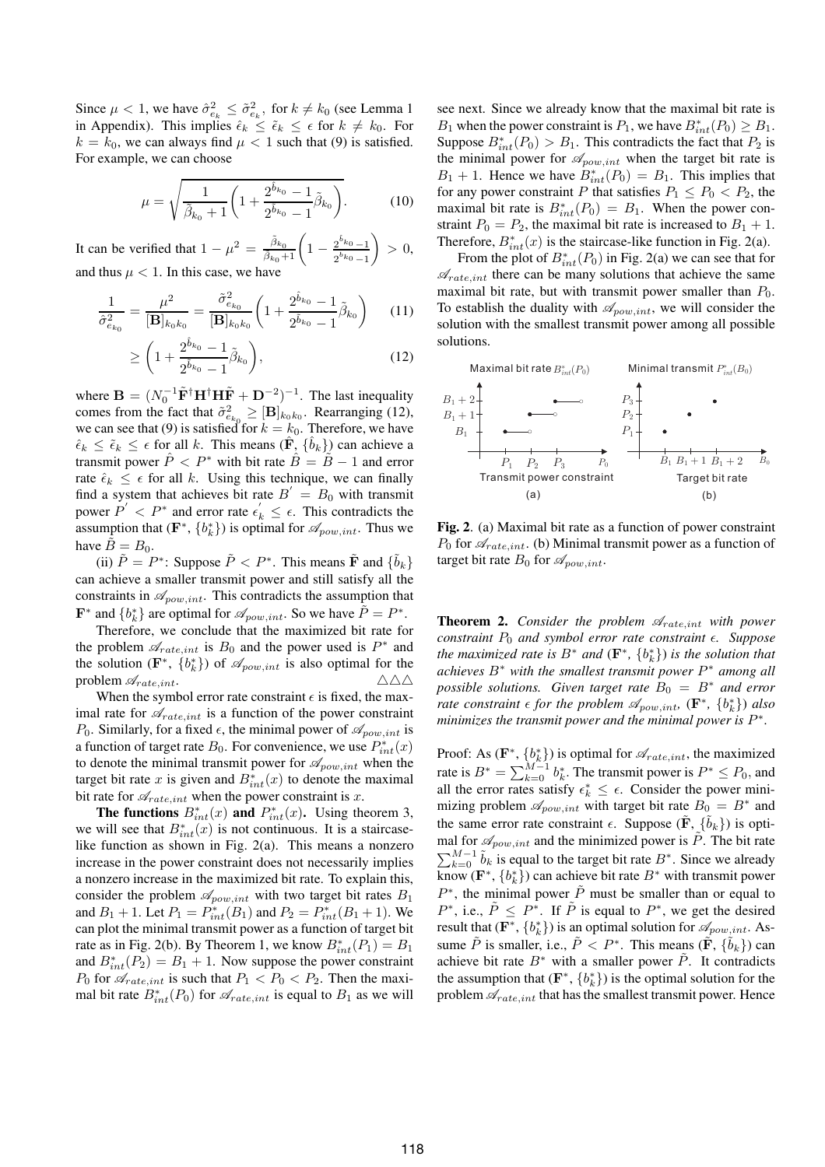Since  $\mu < 1$ , we have  $\hat{\sigma}_{e_k}^2 \leq \tilde{\sigma}_{e_k}^2$ , for  $k \neq k_0$  (see Lemma 1 in Appendix). This implies  $\hat{\epsilon}_k \leq \tilde{\epsilon}_k \leq \epsilon$  for  $k \neq k_0$ . For  $k = k_0$ , we can always find  $\mu < 1$  such that (9) is satisfied. For example, we can choose

$$
\mu = \sqrt{\frac{1}{\tilde{\beta}_{k_0} + 1} \left( 1 + \frac{2^{\hat{b}_{k_0}} - 1}{2^{\tilde{b}_{k_0}} - 1} \tilde{\beta}_{k_0} \right)}.
$$
 (10)

It can be verified that  $1 - \mu^2 = \frac{\tilde{\beta}_{k_0}}{\tilde{\beta}_{k_0} + 1} \left( 1 - \frac{2^{\tilde{b}_{k_0}} - 1}{2^{\tilde{b}_{k_0}} - 1} \right)$  $2^{\tilde{b}_{k_0}} - 1$  $\Big\} > 0,$ and thus  $\mu < 1$ . In this case, we have

$$
\frac{1}{\hat{\sigma}_{e_{k_0}}^2} = \frac{\mu^2}{[\mathbf{B}]_{k_0 k_0}} = \frac{\tilde{\sigma}_{e_{k_0}}^2}{[\mathbf{B}]_{k_0 k_0}} \left( 1 + \frac{2^{\hat{b}_{k_0}} - 1}{2^{\tilde{b}_{k_0}} - 1} \tilde{\beta}_{k_0} \right) \tag{11}
$$

$$
\geq \left(1 + \frac{2^{\hat{b}_{k_0}} - 1}{2^{\tilde{b}_{k_0}} - 1} \tilde{\beta}_{k_0}\right),\tag{12}
$$

where  $\mathbf{B} = (N_0^{-1} \tilde{\mathbf{F}}^{\dagger} \mathbf{H}^{\dagger} \mathbf{H} \tilde{\mathbf{F}} + \mathbf{D}^{-2})^{-1}$ . The last inequality comes from the fact that  $\tilde{\sigma}^2_{e_{k_0}} \geq [\mathbf{B}]_{k_0 k_0}$ . Rearranging (12), we can see that (9) is satisfied for  $k = k_0$ . Therefore, we have  $\hat{\epsilon}_k \leq \tilde{\epsilon}_k \leq \epsilon$  for all k. This means  $(\hat{\mathbf{F}}, \{\hat{b}_k\})$  can achieve a transmit power  $P < P^*$  with bit rate  $B = B - 1$  and error rate  $\hat{\epsilon}_k \leq \epsilon$  for all k. Using this technique, we can finally find a system that achieves bit rate  $B' = B_0$  with transmit power  $P' < P^*$  and error rate  $\epsilon'_k \leq \epsilon$ . This contradicts the assumption that  $(\mathbf{F}^*, \{b_k^*\})$  is optimal for  $\mathscr{A}_{pow, int}$ . Thus we have  $B = B_0$ .

(ii)  $\tilde{P} = P^*$ : Suppose  $\tilde{P} < P^*$ . This means  $\tilde{\mathbf{F}}$  and  $\{\tilde{b}_k\}$ can achieve a smaller transmit power and still satisfy all the constraints in  $\mathscr{A}_{pow,int}$ . This contradicts the assumption that **F**<sup>\*</sup> and  ${b_k^*}$  are optimal for  $\mathcal{A}_{pow, int}$ . So we have  $\tilde{P} = P^*$ .

Therefore, we conclude that the maximized bit rate for the problem  $\mathscr{A}_{rate, int}$  is  $B_0$  and the power used is  $P^*$  and the solution ( $\mathbf{F}^*, \{b_k^*\}$ ) of  $\mathcal{A}_{pow, int}$  is also optimal for the problem  $\mathscr{A}_{rate, int}$ .  $\triangle \triangle \triangle$ 

When the symbol error rate constraint  $\epsilon$  is fixed, the maximal rate for  $\mathscr{A}_{rate, int}$  is a function of the power constraint  $P_0$ . Similarly, for a fixed  $\epsilon$ , the minimal power of  $\mathscr{A}_{pow, int}$  is a function of target rate  $B_0$ . For convenience, we use  $P_{int}^*(x)$ to denote the minimal transmit power for  $\mathscr{A}_{pow, int}$  when the target bit rate x is given and  $B_{int}^*(x)$  to denote the maximal bit rate for  $\mathcal{A}_{rate, int}$  when the power constraint is x.

**The functions**  $B_{int}^*(x)$  and  $P_{int}^*(x)$ . Using theorem 3, we will see that  $B_{int}^{*}(x)$  is not continuous. It is a staircaselike function as shown in Fig. 2(a). This means a nonzero increase in the power constraint does not necessarily implies a nonzero increase in the maximized bit rate. To explain this, consider the problem  $\mathscr{A}_{pow,int}$  with two target bit rates  $B_1$ and  $B_1 + 1$ . Let  $P_1 = P_{int}^*(B_1)$  and  $P_2 = P_{int}^*(B_1 + 1)$ . We can plot the minimal transmit power as a function of target bit rate as in Fig. 2(b). By Theorem 1, we know  $B_{int}^*(P_1) = B_1$ and  $B_{int}^*(P_2) = B_1 + 1$ . Now suppose the power constraint  $P_0$  for  $\mathscr{A}_{rate, int}$  is such that  $P_1 < P_0 < P_2$ . Then the maximal bit rate  $B_{int}^*(P_0)$  for  $\mathscr{A}_{rate, int}$  is equal to  $B_1$  as we will see next. Since we already know that the maximal bit rate is B<sub>1</sub> when the power constraint is  $P_1$ , we have  $B_{int}^*(P_0) \geq B_1$ . Suppose  $B_{int}^*(P_0) > B_1$ . This contradicts the fact that  $P_2$  is the minimal power for  $\mathscr{A}_{pow,int}$  when the target bit rate is  $B_1 + 1$ . Hence we have  $B_{int}^*(P_0) = B_1$ . This implies that for any power constraint P that satisfies  $P_1 \n\t\le P_0 \n\t< P_2$ , the maximal bit rate is  $B_{int}^*(P_0) = B_1$ . When the power constraint  $P_0 = P_2$ , the maximal bit rate is increased to  $B_1 + 1$ . Therefore,  $B_{int}^*(x)$  is the staircase-like function in Fig. 2(a).

From the plot of  $B_{int}^*(P_0)$  in Fig. 2(a) we can see that for  $\mathscr{A}_{rate, int}$  there can be many solutions that achieve the same maximal bit rate, but with transmit power smaller than  $P_0$ . To establish the duality with  $\mathcal{A}_{pow, int}$ , we will consider the solution with the smallest transmit power among all possible solutions.



**Fig. 2**. (a) Maximal bit rate as a function of power constraint  $P_0$  for  $\mathscr{A}_{rate, int}$ . (b) Minimal transmit power as a function of target bit rate  $B_0$  for  $\mathscr{A}_{pow, int}$ .

**Theorem 2.** *Consider the problem*  $\mathcal{A}_{rate, int}$  *with power constraint*  $P_0$  *and symbol error rate constraint*  $\epsilon$ *. Suppose the maximized rate is*  $B^*$  *and*  $(\mathbf{F}^*, \{b_k^*\})$  *is the solution that achieves* B<sup>∗</sup> *with the smallest transmit power* P <sup>∗</sup> *among all possible solutions. Given target rate*  $B_0 = B^*$  *and error rate constraint*  $\epsilon$  *for the problem*  $\mathscr{A}_{pow, int}$ ,  $(\mathbf{F}^*, \{b_k^*\})$  *also minimizes the transmit power and the minimal power is*  $P^*$ .

Proof: As  $(\mathbf{F}^*, \{b_k^*\})$  is optimal for  $\mathcal{A}_{rate, int}$ , the maximized rate is  $B^* = \sum_{k=0}^{M-1} b_k^*$ . The transmit power is  $P^* \le P_0$ , and all the error rates satisfy  $\epsilon_k^* \leq \epsilon$ . Consider the power minimizing problem  $\mathscr{A}_{pow, int}$  with target bit rate  $B_0 = B^*$  and the same error rate constraint  $\epsilon$ . Suppose  $(\tilde{F}, \{\tilde{b}_k\})$  is optimal for  $\mathscr{A}_{pow, int}$  and the minimized power is  $\tilde{P}$ . The bit rate  $\sum_{k=0}^{M-1} \tilde{b}_k$  is equal to the target bit rate  $B^*$ . Since we already know ( $\mathbf{F}^*, \{b_k^*\}$ ) can achieve bit rate  $B^*$  with transmit power  $P^*$ , the minimal power  $\tilde{P}$  must be smaller than or equal to  $P^*$ , i.e.,  $\tilde{P} \leq P^*$ . If  $\tilde{P}$  is equal to  $P^*$ , we get the desired result that  $(\mathbf{F}^*, \{b_k^*\})$  is an optimal solution for  $\mathscr{A}_{pow\_int}$ . Assume  $\tilde{P}$  is smaller, i.e.,  $\tilde{P} < P^*$ . This means  $(\tilde{\mathbf{F}}, \{\tilde{b}_k\})$  can achieve bit rate  $B^*$  with a smaller power  $\tilde{P}$ . It contradicts the assumption that  $(\mathbf{F}^*, \{b_k^*\})$  is the optimal solution for the problem  $\mathcal{A}_{rate, int}$  that has the smallest transmit power. Hence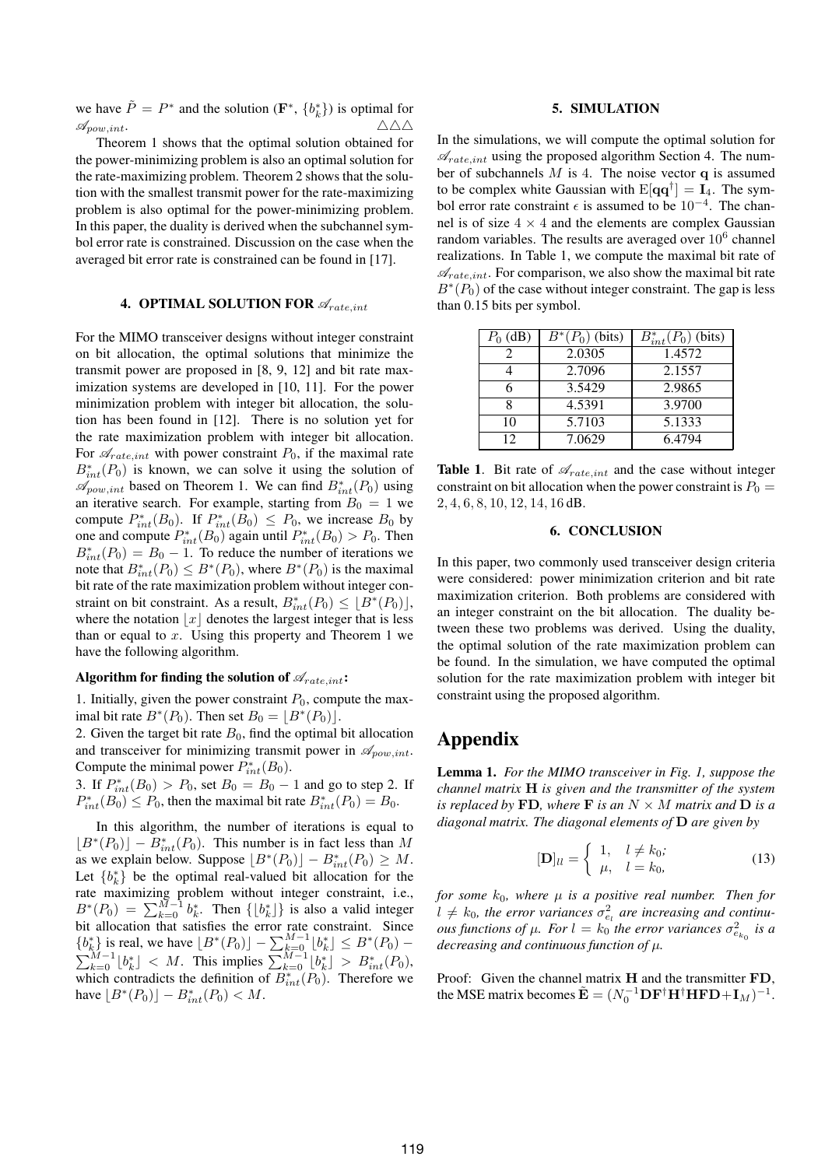we have  $\tilde{P} = P^*$  and the solution  $(\mathbf{F}^*, \{b_k^*\})$  is optimal for  $\mathscr{A}_{pow, int}$ .  $\triangle \triangle \triangle$ 

Theorem 1 shows that the optimal solution obtained for the power-minimizing problem is also an optimal solution for the rate-maximizing problem. Theorem 2 shows that the solution with the smallest transmit power for the rate-maximizing problem is also optimal for the power-minimizing problem. In this paper, the duality is derived when the subchannel symbol error rate is constrained. Discussion on the case when the averaged bit error rate is constrained can be found in [17].

## **4. OPTIMAL SOLUTION FOR**  $\mathscr{A}_{rate.int}$

For the MIMO transceiver designs without integer constraint on bit allocation, the optimal solutions that minimize the transmit power are proposed in [8, 9, 12] and bit rate maximization systems are developed in [10, 11]. For the power minimization problem with integer bit allocation, the solution has been found in [12]. There is no solution yet for the rate maximization problem with integer bit allocation. For  $\mathcal{A}_{rate, int}$  with power constraint  $P_0$ , if the maximal rate  $B_{int}^*(P_0)$  is known, we can solve it using the solution of  $\mathscr{A}_{pow, int}$  based on Theorem 1. We can find  $B_{int}^*(P_0)$  using an iterative search. For example, starting from  $B_0 = 1$  we compute  $P_{int}^*(B_0)$ . If  $P_{int}^*(B_0) \leq P_0$ , we increase  $B_0$  by one and compute  $P_{int}^*(B_0)$  again until  $P_{int}^*(B_0) > P_0$ . Then  $B_{int}^*(P_0) = B_0 - 1$ . To reduce the number of iterations we note that  $B_{int}^*(P_0) \le B^*(P_0)$ , where  $B^*(P_0)$  is the maximal bit rate of the rate maximization problem without integer constraint on bit constraint. As a result,  $B_{int}^*(P_0) \leq \lfloor B^*(P_0) \rfloor$ , where the notation  $|x|$  denotes the largest integer that is less than or equal to  $x$ . Using this property and Theorem 1 we have the following algorithm.

## Algorithm for finding the solution of  $\mathscr{A}_{rate, int}$ **:**

1. Initially, given the power constraint  $P_0$ , compute the maximal bit rate  $B^*(P_0)$ . Then set  $B_0 = \lfloor B^*(P_0) \rfloor$ .

2. Given the target bit rate  $B_0$ , find the optimal bit allocation and transceiver for minimizing transmit power in  $\mathscr{A}_{pow, int}$ . Compute the minimal power  $P_{int}^*(B_0)$ .

3. If  $P_{int}^{*}(B_0) > P_0$ , set  $B_0 = B_0 - 1$  and go to step 2. If  $P_{int}^*(B_0) \le P_0$ , then the maximal bit rate  $B_{int}^*(P_0) = B_0$ .

In this algorithm, the number of iterations is equal to  $[B^*(P_0)] - B_{int}^*(P_0)$ . This number is in fact less than M as we explain below. Suppose  $[B^*(P_0)] - B^*_{int}(P_0) \geq M$ . Let  ${b_k^*}$  be the optimal real-valued bit allocation for the rate maximizing problem without integer constraint, i.e.,  $B^*(P_0) = \sum_{k=0}^{M-1} b_k^*$ . Then  $\{\lfloor b_k^* \rfloor\}$  is also a valid integer bit allocation that satisfies the error rate constraint. Since  ${b_k^*}$  is real, we have  $[B^*(P_0)] - \sum_{k=0}^{M-1} [b_k^*] \leq B^*(P_0) \sum_{k=0}^{M-1} \lfloor b_k^* \rfloor$  < M. This implies  $\sum_{k=0}^{M-1} \lfloor b_k^* \rfloor$  >  $B_{int}^*(P_0)$ , which contradicts the definition of  $B_{int}^*(P_0)$ . Therefore we have  $[B^*(P_0)] - B^*_{int}(P_0) < M$ .

## **5. SIMULATION**

In the simulations, we will compute the optimal solution for  $\mathscr{A}_{rate, int}$  using the proposed algorithm Section 4. The number of subchannels  $M$  is 4. The noise vector  $q$  is assumed to be complex white Gaussian with  $E[\mathbf{q}\mathbf{q}^{\dagger}] = \mathbf{I}_4$ . The symbol error rate constraint  $\epsilon$  is assumed to be  $10^{-4}$ . The channel is of size  $4 \times 4$  and the elements are complex Gaussian random variables. The results are averaged over  $10^6$  channel realizations. In Table 1, we compute the maximal bit rate of  $\mathscr{A}_{rate, int}$ . For comparison, we also show the maximal bit rate  $B^*(P_0)$  of the case without integer constraint. The gap is less than 0.15 bits per symbol.

| $P_0$ (dB) | $B^*(P_0)$ (bits) | $B_{int}^*(P_0)$ (bits) |
|------------|-------------------|-------------------------|
|            | 2.0305            | 1.4572                  |
|            | 2.7096            | 2.1557                  |
|            | 3.5429            | 2.9865                  |
|            | 4.5391            | 3.9700                  |
| 10         | 5.7103            | 5.1333                  |
| 12         | 7.0629            | 6.4794                  |

**Table 1.** Bit rate of  $\mathcal{A}_{rate\ int}$  and the case without integer constraint on bit allocation when the power constraint is  $P_0 =$ 2, 4, 6, 8, 10, 12, 14, 16 dB.

## **6. CONCLUSION**

In this paper, two commonly used transceiver design criteria were considered: power minimization criterion and bit rate maximization criterion. Both problems are considered with an integer constraint on the bit allocation. The duality between these two problems was derived. Using the duality, the optimal solution of the rate maximization problem can be found. In the simulation, we have computed the optimal solution for the rate maximization problem with integer bit constraint using the proposed algorithm.

# **Appendix**

**Lemma 1.** *For the MIMO transceiver in Fig. 1, suppose the channel matrix* H *is given and the transmitter of the system is replaced by* FD, where F *is an*  $N \times M$  *matrix and* D *is a diagonal matrix. The diagonal elements of* D *are given by*

$$
[\mathbf{D}]_{ll} = \begin{cases} 1, & l \neq k_0; \\ \mu, & l = k_0, \end{cases}
$$
 (13)

*for some*  $k_0$ *, where*  $\mu$  *is a positive real number. Then for*  $l \neq k_0$ , the error variances  $\sigma_{e_l}^2$  are increasing and continu*ous functions of*  $\mu$ *. For*  $l = k_0$  *the error variances*  $\sigma_{e_{k_0}}^2$  *is a decreasing and continuous function of* µ*.*

Proof: Given the channel matrix H and the transmitter FD, the MSE matrix becomes  $\tilde{\mathbf{E}} = (N_0^{-1} \mathbf{D} \mathbf{F}^{\dagger} \mathbf{H}^{\dagger} \mathbf{H} \mathbf{F} \mathbf{D} + \mathbf{I}_M)^{-1}$ .